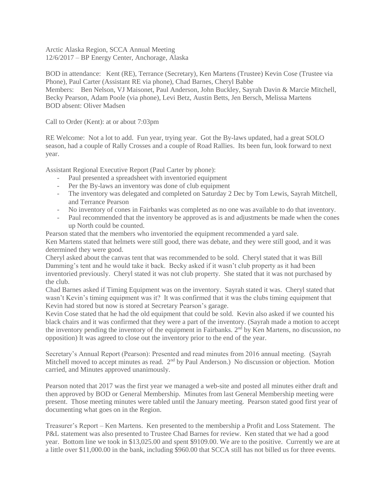Arctic Alaska Region, SCCA Annual Meeting 12/6/2017 – BP Energy Center, Anchorage, Alaska

BOD in attendance: Kent (RE), Terrance (Secretary), Ken Martens (Trustee) Kevin Cose (Trustee via Phone), Paul Carter (Assistant RE via phone), Chad Barnes, Cheryl Babbe Members: Ben Nelson, VJ Maisonet, Paul Anderson, John Buckley, Sayrah Davin & Marcie Mitchell, Becky Pearson, Adam Poole (via phone), Levi Betz, Austin Betts, Jen Bersch, Melissa Martens BOD absent: Oliver Madsen

Call to Order (Kent): at or about 7:03pm

RE Welcome: Not a lot to add. Fun year, trying year. Got the By-laws updated, had a great SOLO season, had a couple of Rally Crosses and a couple of Road Rallies. Its been fun, look forward to next year.

Assistant Regional Executive Report (Paul Carter by phone):

- Paul presented a spreadsheet with inventoried equipment
- Per the By-laws an inventory was done of club equipment
- The inventory was delegated and completed on Saturday 2 Dec by Tom Lewis, Sayrah Mitchell, and Terrance Pearson
- No inventory of cones in Fairbanks was completed as no one was available to do that inventory.
- Paul recommended that the inventory be approved as is and adjustments be made when the cones up North could be counted.

Pearson stated that the members who inventoried the equipment recommended a yard sale. Ken Martens stated that helmets were still good, there was debate, and they were still good, and it was determined they were good.

Cheryl asked about the canvas tent that was recommended to be sold. Cheryl stated that it was Bill Damming's tent and he would take it back. Becky asked if it wasn't club property as it had been inventoried previously. Cheryl stated it was not club property. She stated that it was not purchased by the club.

Chad Barnes asked if Timing Equipment was on the inventory. Sayrah stated it was. Cheryl stated that wasn't Kevin's timing equipment was it? It was confirmed that it was the clubs timing equipment that Kevin had stored but now is stored at Secretary Pearson's garage.

Kevin Cose stated that he had the old equipment that could be sold. Kevin also asked if we counted his black chairs and it was confirmed that they were a part of the inventory. (Sayrah made a motion to accept the inventory pending the inventory of the equipment in Fairbanks. 2<sup>nd</sup> by Ken Martens, no discussion, no opposition) It was agreed to close out the inventory prior to the end of the year.

Secretary's Annual Report (Pearson): Presented and read minutes from 2016 annual meeting. (Sayrah Mitchell moved to accept minutes as read. 2<sup>nd</sup> by Paul Anderson.) No discussion or objection. Motion carried, and Minutes approved unanimously.

Pearson noted that 2017 was the first year we managed a web-site and posted all minutes either draft and then approved by BOD or General Membership. Minutes from last General Membership meeting were present. Those meeting minutes were tabled until the January meeting. Pearson stated good first year of documenting what goes on in the Region.

Treasurer's Report – Ken Martens. Ken presented to the membership a Profit and Loss Statement. The P&L statement was also presented to Trustee Chad Barnes for review. Ken stated that we had a good year. Bottom line we took in \$13,025.00 and spent \$9109.00. We are to the positive. Currently we are at a little over \$11,000.00 in the bank, including \$960.00 that SCCA still has not billed us for three events.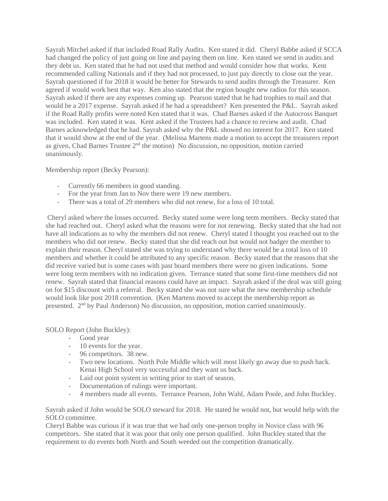Sayrah Mitchel asked if that included Road Rally Audits. Ken stated it did. Cheryl Babbe asked if SCCA had changed the policy of just going on line and paying them on line. Ken stated we send in audits and they debt us. Ken stated that he had not used that method and would consider how that works. Kent recommended calling Nationals and if they had not processed, to just pay directly to close out the year. Sayrah questioned if for 2018 it would be better for Stewards to send audits through the Treasurer. Ken agreed if would work best that way. Ken also stated that the region bought new radios for this season. Sayrah asked if there are any expenses coming up. Pearson stated that he had trophies to mail and that would be a 2017 expense. Sayrah asked if he had a spreadsheet? Ken presented the P&L. Sayrah asked if the Road Rally profits were noted Ken stated that it was. Chad Barnes asked if the Autocross Banquet was included. Ken stated it was. Kent asked if the Trustees had a chance to review and audit. Chad Barnes acknowledged that he had. Sayrah asked why the P&L showed no interest for 2017. Ken stated that it would show at the end of the year. (Melissa Martens made a motion to accept the treasurers report as given, Chad Barnes Trustee 2nd the motion) No discussion, no opposition, motion carried unanimously.

Membership report (Becky Pearson):

- Currently 66 members in good standing.
- For the year from Jan to Nov there were 19 new members.
- There was a total of 29 members who did not renew, for a loss of 10 total.

Cheryl asked where the losses occurred. Becky stated some were long term members. Becky stated that she had reached out. Cheryl asked what the reasons were for not renewing. Becky stated that she had not have all indications as to why the members did not renew. Cheryl stated I thought you reached out to the members who did not renew. Becky stated that she did reach out but would not badger the member to explain their reason. Cheryl stated she was trying to understand why there would be a total loss of 10 members and whether it could be attributed to any specific reason. Becky stated that the reasons that she did receive varied but is some cases with past board members there were no given indications. Some were long term members with no indication given. Terrance stated that some first-time members did not renew. Sayrah stated that financial reasons could have an impact. Sayrah asked if the deal was still going on for \$15 discount with a referral. Becky stated she was not sure what the new membership schedule would look like post 2018 convention. (Ken Martens moved to accept the membership report as presented. 2nd by Paul Anderson) No discussion, no opposition, motion carried unanimously.

SOLO Report (John Buckley):

- Good year
- 10 events for the year.
- 96 competitors. 38 new.
- Two new locations. North Pole Middle which will most likely go away due to push back. Kenai High School very successful and they want us back.
- Laid out point system in writing prior to start of season.
- Documentation of rulings were important.
- 4 members made all events. Terrance Pearson, John Wahl, Adam Poole, and John Buckley.

Sayrah asked if John would be SOLO steward for 2018. He stated he would not, but would help with the SOLO committee.

Cheryl Babbe was curious if it was true that we had only one-person trophy in Novice class with 96 competitors. She stated that it was poor that only one person qualified. John Buckley stated that the requirement to do events both North and South weeded out the competition dramatically.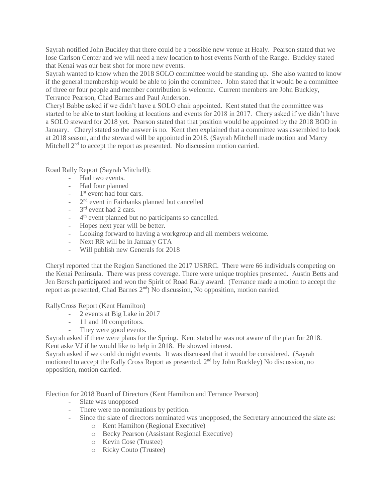Sayrah notified John Buckley that there could be a possible new venue at Healy. Pearson stated that we lose Carlson Center and we will need a new location to host events North of the Range. Buckley stated that Kenai was our best shot for more new events.

Sayrah wanted to know when the 2018 SOLO committee would be standing up. She also wanted to know if the general membership would be able to join the committee. John stated that it would be a committee of three or four people and member contribution is welcome. Current members are John Buckley, Terrance Pearson, Chad Barnes and Paul Anderson.

Cheryl Babbe asked if we didn't have a SOLO chair appointed. Kent stated that the committee was started to be able to start looking at locations and events for 2018 in 2017. Chery asked if we didn't have a SOLO steward for 2018 yet. Pearson stated that that position would be appointed by the 2018 BOD in January. Cheryl stated so the answer is no. Kent then explained that a committee was assembled to look at 2018 season, and the steward will be appointed in 2018. (Sayrah Mitchell made motion and Marcy Mitchell  $2<sup>nd</sup>$  to accept the report as presented. No discussion motion carried.

Road Rally Report (Sayrah Mitchell):

- Had two events.
- Had four planned
- 1<sup>st</sup> event had four cars.
- 2<sup>nd</sup> event in Fairbanks planned but cancelled
- 3<sup>rd</sup> event had 2 cars.
- <sup>-</sup> 4<sup>th</sup> event planned but no participants so cancelled.
- Hopes next year will be better.
- Looking forward to having a workgroup and all members welcome.
- Next RR will be in January GTA
- Will publish new Generals for 2018

Cheryl reported that the Region Sanctioned the 2017 USRRC. There were 66 individuals competing on the Kenai Peninsula. There was press coverage. There were unique trophies presented. Austin Betts and Jen Bersch participated and won the Spirit of Road Rally award. (Terrance made a motion to accept the report as presented, Chad Barnes 2nd) No discussion, No opposition, motion carried.

RallyCross Report (Kent Hamilton)

- 2 events at Big Lake in 2017
- 11 and 10 competitors.
- They were good events.

Sayrah asked if there were plans for the Spring. Kent stated he was not aware of the plan for 2018. Kent aske VJ if he would like to help in 2018. He showed interest.

Sayrah asked if we could do night events. It was discussed that it would be considered. (Sayrah motioned to accept the Rally Cross Report as presented. 2nd by John Buckley) No discussion, no opposition, motion carried.

Election for 2018 Board of Directors (Kent Hamilton and Terrance Pearson)

- Slate was unopposed
- There were no nominations by petition.
- Since the slate of directors nominated was unopposed, the Secretary announced the slate as:
	- o Kent Hamilton (Regional Executive)
	- o Becky Pearson (Assistant Regional Executive)
	- o Kevin Cose (Trustee)
	- o Ricky Couto (Trustee)